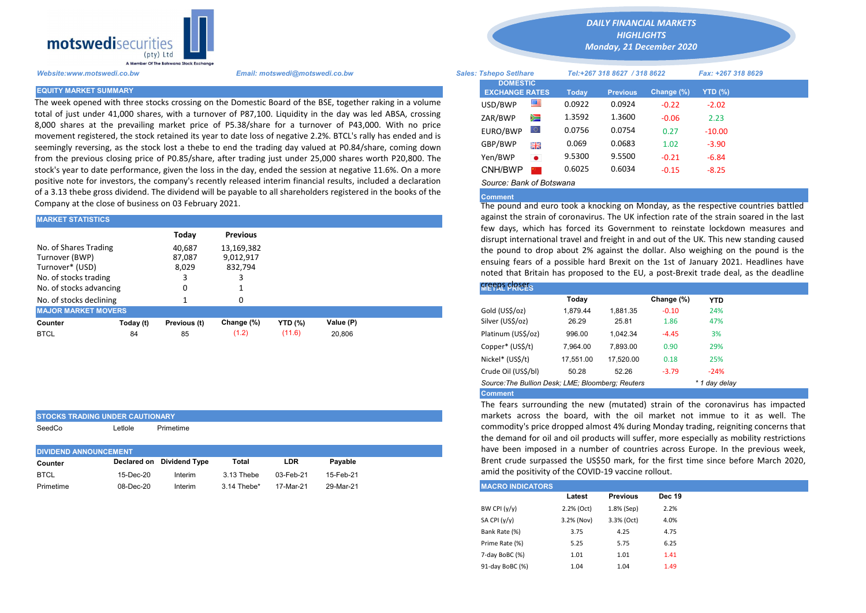

STOCKS TRADING UNDER CAUTIONARY SeedCo Letlole Primetime

The week opened with three stocks crossing on the Domestic Board of the BSE, together raking in a volume total of just under 41,000 shares, with a turnover of P87,100. Liquidity in the day was led ABSA, crossing 8,000 shares at the prevailing market price of P5.38/share for a turnover of P43,000. With no price movement registered, the stock retained its year to date loss of negative 2.2%. BTCL's rally has ended and is seemingly reversing, as the stock lost a thebe to end the trading day valued at P0.84/share, coming down from the previous closing price of P0.85/share, after trading just under 25,000 shares worth P20,800. The stock's year to date performance, given the loss in the day, ended the session at negative 11.6%. On a more positive note for investors, the company's recently released interim financial results, included a declaration of a 3.13 thebe gross dividend. The dividend will be payable to all shareholders registered in the books of the Company at the close of business on 03 February 2021.

| <b>MARKET STATISTICS</b>                                                                                       |           |                                    |                                                       |                | against the strain of coronavirus. The UK infection rate of the strain s<br>few days, which has forced its Government to reinstate lockdow |                                                                                                                                                                                                                                                                                                                           |          |          |            |            |  |  |
|----------------------------------------------------------------------------------------------------------------|-----------|------------------------------------|-------------------------------------------------------|----------------|--------------------------------------------------------------------------------------------------------------------------------------------|---------------------------------------------------------------------------------------------------------------------------------------------------------------------------------------------------------------------------------------------------------------------------------------------------------------------------|----------|----------|------------|------------|--|--|
| No. of Shares Trading<br>Turnover (BWP)<br>Turnover* (USD)<br>No. of stocks trading<br>No. of stocks advancing |           | Today<br>40.687<br>87.087<br>8.029 | <b>Previous</b><br>13,169,382<br>9,012,917<br>832,794 |                |                                                                                                                                            | disrupt international travel and freight in and out of the UK. This new<br>the pound to drop about 2% against the dollar. Also weighing on t<br>ensuing fears of a possible hard Brexit on the 1st of January 2021.<br>noted that Britain has proposed to the EU, a post-Brexit trade deal.<br><b><i>KIEFRE FREES</i></b> |          |          |            |            |  |  |
| No. of stocks declining                                                                                        |           |                                    |                                                       |                |                                                                                                                                            |                                                                                                                                                                                                                                                                                                                           | Today    |          | Change (%) | <b>YTD</b> |  |  |
| <b>MAJOR MARKET MOVERS</b>                                                                                     |           |                                    |                                                       |                |                                                                                                                                            | Gold (US\$/oz)                                                                                                                                                                                                                                                                                                            | 1.879.44 | 1.881.35 | $-0.10$    | 24%        |  |  |
| Counter                                                                                                        | Today (t) | Previous (t)                       | Change (%)                                            | <b>YTD (%)</b> | Value (P)                                                                                                                                  | Silver (US\$/oz)                                                                                                                                                                                                                                                                                                          | 26.29    | 25.81    | 1.86       | 47%        |  |  |
| <b>BTCL</b>                                                                                                    | 84        | 85                                 | (1.2)                                                 | (11.6)         | 20,806                                                                                                                                     | Platinum (US\$/oz)                                                                                                                                                                                                                                                                                                        | 996.00   | 1.042.34 | $-4.45$    | 3%         |  |  |
|                                                                                                                |           |                                    |                                                       |                |                                                                                                                                            |                                                                                                                                                                                                                                                                                                                           |          |          |            |            |  |  |

|                              |           |                           |             |           |           | the demand for oil      |
|------------------------------|-----------|---------------------------|-------------|-----------|-----------|-------------------------|
| <b>DIVIDEND ANNOUNCEMENT</b> |           |                           |             |           |           | have been impose        |
| Counter                      |           | Declared on Dividend Type | Total       | LDR       | Pavable   | Brent crude surpas      |
| <b>BTCL</b>                  | 15-Dec-20 | Interim                   | 3.13 Thebe  | 03-Feb-21 | 15-Feb-21 | amid the positivity     |
| Primetime                    | 08-Dec-20 | Interim                   | 3.14 Thebe* | 17-Mar-21 | 29-Mar-21 | <b>MACRO INDICATORS</b> |

*DAILY FINANCIAL MARKETS HIGHLIGHTS*

*Monday, 21 December 2020* 

| A Member Of the Borswand Stock Exchange |                                                                                                                                                                                                                      |          |                                          |              |                              |               |                    |  |
|-----------------------------------------|----------------------------------------------------------------------------------------------------------------------------------------------------------------------------------------------------------------------|----------|------------------------------------------|--------------|------------------------------|---------------|--------------------|--|
| Website:www.motswedi.co.bw              | Email: motswedi@motswedi.co.bw                                                                                                                                                                                       |          | <b>Sales: Tshepo Setlhare</b>            |              | Tel:+267 318 8627 / 318 8622 |               | Fax: +267 318 8629 |  |
| <b>EQUITY MARKET SUMMARY</b>            |                                                                                                                                                                                                                      |          | <b>DOMESTIC</b><br><b>EXCHANGE RATES</b> | <b>Today</b> | <b>Previous</b>              | Change $(\%)$ | <b>YTD (%)</b>     |  |
|                                         | The week opened with three stocks crossing on the Domestic Board of the BSE, together raking in a volume                                                                                                             | USD/BWP  | 一                                        | 0.0922       | 0.0924                       | $-0.22$       | $-2.02$            |  |
|                                         | otal of just under 41,000 shares, with a turnover of P87,100. Liquidity in the day was led ABSA, crossing                                                                                                            | ZAR/BWP  | ≋                                        | 1.3592       | 1.3600                       | $-0.06$       | 2.23               |  |
|                                         | 3,000 shares at the prevailing market price of P5.38/share for a turnover of P43,000. With no price<br>novement registered, the stock retained its year to date loss of negative 2.2%. BTCL's rally has ended and is | EURO/BWP | O.                                       | 0.0756       | 0.0754                       | 0.27          | $-10.00$           |  |
|                                         | eemingly reversing, as the stock lost a thebe to end the trading day valued at P0.84/share, coming down                                                                                                              | GBP/BWP  | 開開                                       | 0.069        | 0.0683                       | 1.02          | $-3.90$            |  |
|                                         | rom the previous closing price of P0.85/share, after trading just under 25,000 shares worth P20,800. The                                                                                                             | Yen/BWP  | $\bullet$                                | 9.5300       | 9.5500                       | $-0.21$       | $-6.84$            |  |
|                                         | tock's year to date performance, given the loss in the day, ended the session at negative 11.6%. On a more                                                                                                           | CNH/BWP  |                                          | 0.6025       | 0.6034                       | $-0.15$       | $-8.25$            |  |
|                                         | oositive note for investors, the company's recently released interim financial results, included a declaration                                                                                                       |          | Source: Bank of Botswana                 |              |                              |               |                    |  |

## Comment

The pound and euro took a knocking on Monday, as the respective countries battled against the strain of coronavirus. The UK infection rate of the strain soared in the last few days, which has forced its Government to reinstate lockdown measures and disrupt international travel and freight in and out of the UK. This new standing caused the pound to drop about 2% against the dollar. Also weighing on the pound is the ensuing fears of a possible hard Brexit on the 1st of January 2021. Headlines have noted that Britain has proposed to the EU, a post-Brexit trade deal, as the deadline

| L PRICES.    |          |          |           |
|--------------|----------|----------|-----------|
|              | Today    |          | Change (% |
| JS\$/oz)     | 1.879.44 | 1,881.35 | $-0.10$   |
| US\$/oz)     | 26.29    | 25.81    | 1.86      |
| ım (US\$/oz) | 996.00   | 1,042.34 | $-4.45$   |

| Comment of the Contract of the                    |           |           |         |               |  |
|---------------------------------------------------|-----------|-----------|---------|---------------|--|
| Source: The Bullion Desk; LME; Bloomberg; Reuters |           |           |         | * 1 day delay |  |
| Crude Oil (US\$/bl)                               | 50.28     | 52.26     | $-3.79$ | $-24%$        |  |
| Nickel* (US\$/t)                                  | 17.551.00 | 17.520.00 | 0.18    | 25%           |  |
| Copper* (US\$/t)                                  | 7.964.00  | 7.893.00  | 0.90    | 29%           |  |
|                                                   | ------    | .         |         |               |  |

Comment

The fears surrounding the new (mutated) strain of the coronavirus has impacted markets across the board, with the oil market not immue to it as well. The commodity's price dropped almost 4% during Monday trading, reigniting concerns that the demand for oil and oil products will suffer, more especially as mobility restrictions have been imposed in a number of countries across Europe. In the previous week, Brent crude surpassed the US\$50 mark, for the first time since before March 2020, amid the positivity of the COVID-19 vaccine rollout.

| <b>MACRO INDICATORS</b> |            |                 |               |
|-------------------------|------------|-----------------|---------------|
|                         | Latest     | <b>Previous</b> | <b>Dec 19</b> |
| BW CPI $(y/y)$          | 2.2% (Oct) | 1.8% (Sep)      | 2.2%          |
| SA CPI (y/y)            | 3.2% (Nov) | 3.3% (Oct)      | 4.0%          |
| Bank Rate (%)           | 3.75       | 4.25            | 4.75          |
| Prime Rate (%)          | 5.25       | 5.75            | 6.25          |
| 7-day BoBC (%)          | 1.01       | 1.01            | 1.41          |
| 91-day BoBC (%)         | 1.04       | 1.04            | 1.49          |